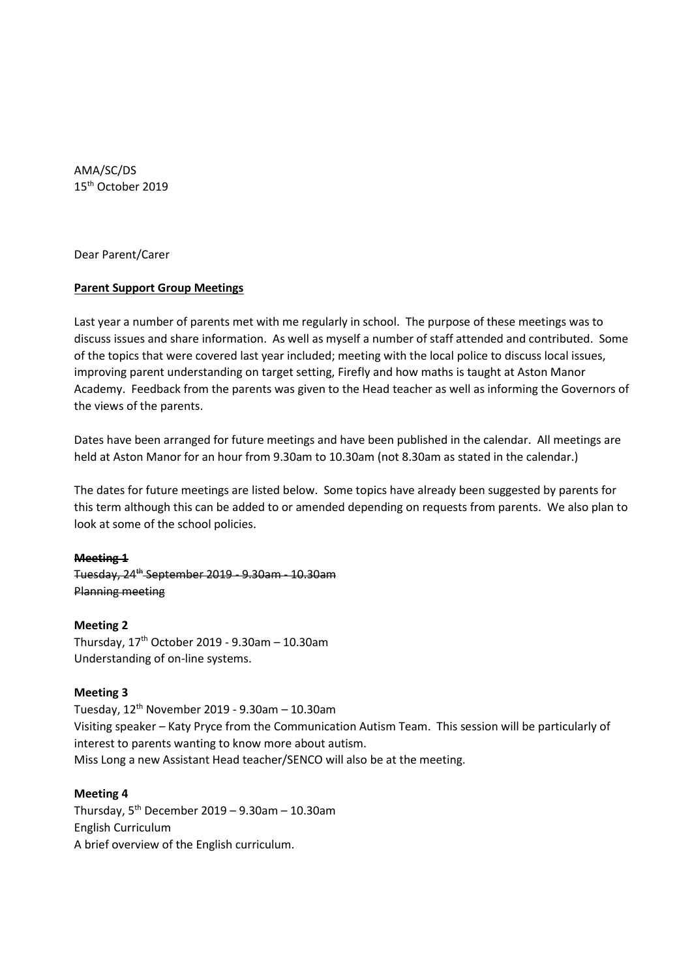AMA/SC/DS 15 th October 2019

Dear Parent/Carer

# **Parent Support Group Meetings**

Last year a number of parents met with me regularly in school. The purpose of these meetings was to discuss issues and share information. As well as myself a number of staff attended and contributed. Some of the topics that were covered last year included; meeting with the local police to discuss local issues, improving parent understanding on target setting, Firefly and how maths is taught at Aston Manor Academy. Feedback from the parents was given to the Head teacher as well as informing the Governors of the views of the parents.

Dates have been arranged for future meetings and have been published in the calendar. All meetings are held at Aston Manor for an hour from 9.30am to 10.30am (not 8.30am as stated in the calendar.)

The dates for future meetings are listed below. Some topics have already been suggested by parents for this term although this can be added to or amended depending on requests from parents. We also plan to look at some of the school policies.

### **Meeting 1**

Tuesday, 24th September 2019 - 9.30am - 10.30am Planning meeting

### **Meeting 2**

Thursday,  $17<sup>th</sup>$  October 2019 - 9.30am - 10.30am Understanding of on-line systems.

### **Meeting 3**

Tuesday,  $12^{th}$  November 2019 - 9.30am - 10.30am Visiting speaker – Katy Pryce from the Communication Autism Team. This session will be particularly of interest to parents wanting to know more about autism. Miss Long a new Assistant Head teacher/SENCO will also be at the meeting.

## **Meeting 4**

Thursday,  $5^{th}$  December 2019 – 9.30am – 10.30am English Curriculum A brief overview of the English curriculum.